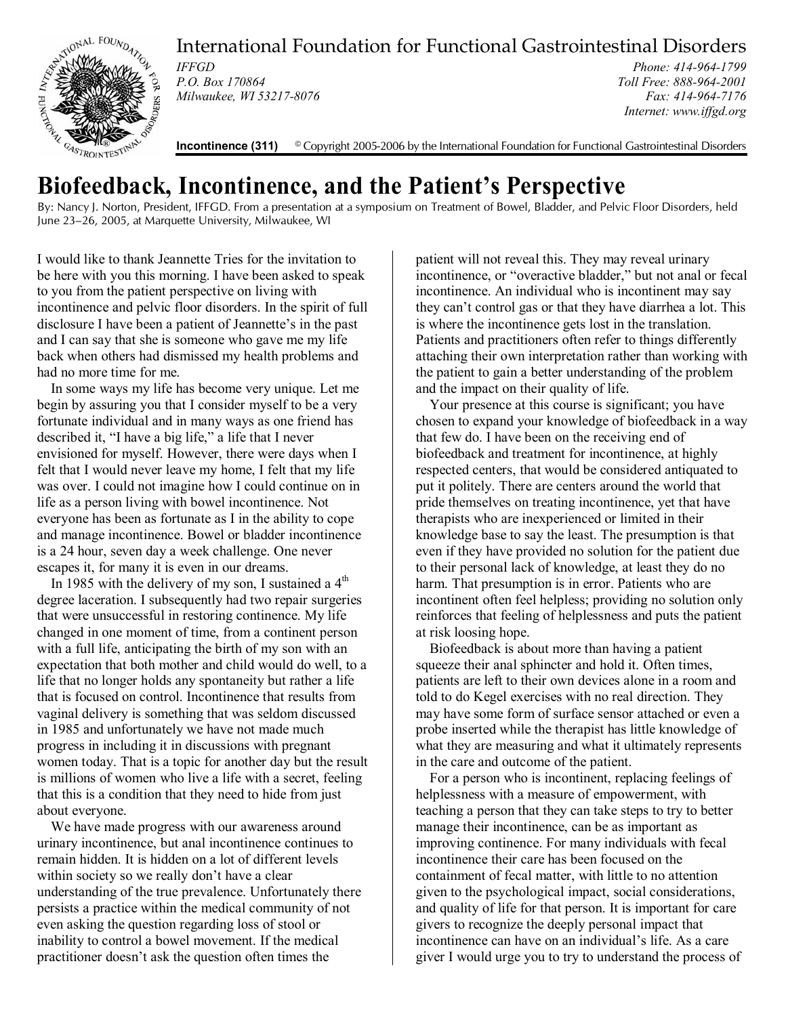

International Foundation for Functional Gastrointestinal Disorders

*IFFGD P.O. Box 170864 Milwaukee, WI 53217-8076* 

*Phone: 414-964-1799 Toll Free: 888-964-2001 Fax: 414-964-7176 Internet: www.iffgd.org*

**Incontinence (311)** © Copyright 2005-2006 by the International Foundation for Functional Gastrointestinal Disorders

## **Biofeedback, Incontinence, and the Patient's Perspective**

By: Nancy J. Norton, President, IFFGD. From a presentation at a symposium on Treatment of Bowel, Bladder, and Pelvic Floor Disorders, held June 23–26, 2005, at Marquette University, Milwaukee, WI

I would like to thank Jeannette Tries for the invitation to be here with you this morning. I have been asked to speak to you from the patient perspective on living with incontinence and pelvic floor disorders. In the spirit of full disclosure I have been a patient of Jeannette's in the past and I can say that she is someone who gave me my life back when others had dismissed my health problems and had no more time for me.

In some ways my life has become very unique. Let me begin by assuring you that I consider myself to be a very fortunate individual and in many ways as one friend has described it, "I have a big life," a life that I never envisioned for myself. However, there were days when I felt that I would never leave my home, I felt that my life was over. I could not imagine how I could continue on in life as a person living with bowel incontinence. Not everyone has been as fortunate as I in the ability to cope and manage incontinence. Bowel or bladder incontinence is a 24 hour, seven day a week challenge. One never escapes it, for many it is even in our dreams.

In 1985 with the delivery of my son, I sustained a  $4<sup>th</sup>$ degree laceration. I subsequently had two repair surgeries that were unsuccessful in restoring continence. My life changed in one moment of time, from a continent person with a full life, anticipating the birth of my son with an expectation that both mother and child would do well, to a life that no longer holds any spontaneity but rather a life that is focused on control. Incontinence that results from vaginal delivery is something that was seldom discussed in 1985 and unfortunately we have not made much progress in including it in discussions with pregnant women today. That is a topic for another day but the result is millions of women who live a life with a secret, feeling that this is a condition that they need to hide from just about everyone.

We have made progress with our awareness around urinary incontinence, but anal incontinence continues to remain hidden. It is hidden on a lot of different levels within society so we really don't have a clear understanding of the true prevalence. Unfortunately there persists a practice within the medical community of not even asking the question regarding loss of stool or inability to control a bowel movement. If the medical practitioner doesn't ask the question often times the

patient will not reveal this. They may reveal urinary incontinence, or "overactive bladder," but not anal or fecal incontinence. An individual who is incontinent may say they can't control gas or that they have diarrhea a lot. This is where the incontinence gets lost in the translation. Patients and practitioners often refer to things differently attaching their own interpretation rather than working with the patient to gain a better understanding of the problem and the impact on their quality of life.

Your presence at this course is significant; you have chosen to expand your knowledge of biofeedback in a way that few do. I have been on the receiving end of biofeedback and treatment for incontinence, at highly respected centers, that would be considered antiquated to put it politely. There are centers around the world that pride themselves on treating incontinence, yet that have therapists who are inexperienced or limited in their knowledge base to say the least. The presumption is that even if they have provided no solution for the patient due to their personal lack of knowledge, at least they do no harm. That presumption is in error. Patients who are incontinent often feel helpless; providing no solution only reinforces that feeling of helplessness and puts the patient at risk loosing hope.

Biofeedback is about more than having a patient squeeze their anal sphincter and hold it. Often times, patients are left to their own devices alone in a room and told to do Kegel exercises with no real direction. They may have some form of surface sensor attached or even a probe inserted while the therapist has little knowledge of what they are measuring and what it ultimately represents in the care and outcome of the patient.

For a person who is incontinent, replacing feelings of helplessness with a measure of empowerment, with teaching a person that they can take steps to try to better manage their incontinence, can be as important as improving continence. For many individuals with fecal incontinence their care has been focused on the containment of fecal matter, with little to no attention given to the psychological impact, social considerations, and quality of life for that person. It is important for care givers to recognize the deeply personal impact that incontinence can have on an individual's life. As a care giver I would urge you to try to understand the process of